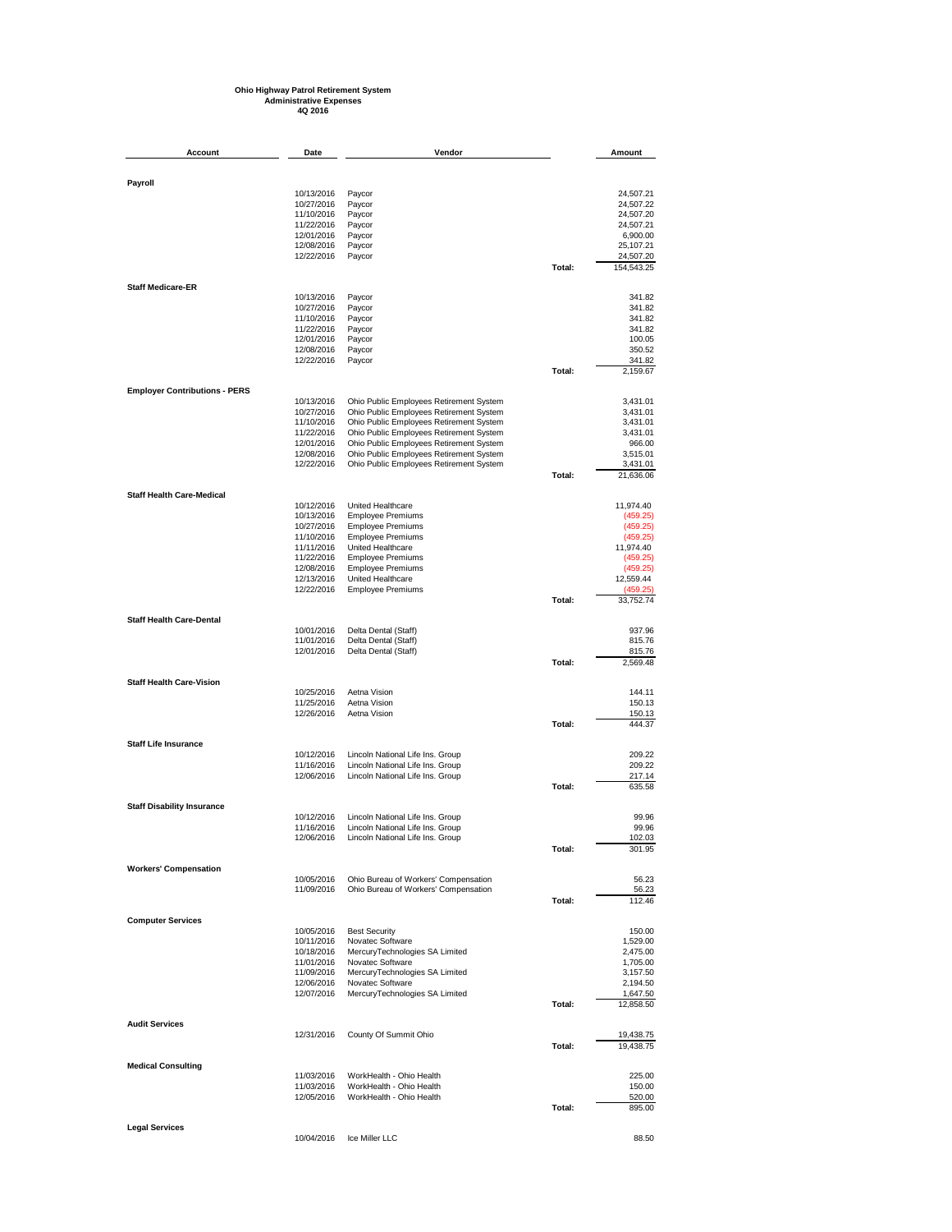## **Ohio Highway Patrol Retirement System Administrative Expenses 4Q 2016**

| Account                              | Date                     | Vendor                                                                             |        | Amount                 |
|--------------------------------------|--------------------------|------------------------------------------------------------------------------------|--------|------------------------|
|                                      |                          |                                                                                    |        |                        |
| Payroll                              |                          |                                                                                    |        |                        |
|                                      | 10/13/2016<br>10/27/2016 | Paycor<br>Paycor                                                                   |        | 24,507.21<br>24,507.22 |
|                                      | 11/10/2016               | Paycor                                                                             |        | 24,507.20              |
|                                      | 11/22/2016<br>12/01/2016 | Paycor<br>Paycor                                                                   |        | 24,507.21<br>6,900.00  |
|                                      | 12/08/2016               | Paycor                                                                             |        | 25,107.21              |
|                                      | 12/22/2016               | Paycor                                                                             |        | 24,507.20              |
|                                      |                          |                                                                                    | Total: | 154,543.25             |
| <b>Staff Medicare-ER</b>             | 10/13/2016               | Paycor                                                                             |        | 341.82                 |
|                                      | 10/27/2016               | Paycor                                                                             |        | 341.82                 |
|                                      | 11/10/2016               | Paycor                                                                             |        | 341.82                 |
|                                      | 11/22/2016<br>12/01/2016 | Paycor<br>Paycor                                                                   |        | 341.82<br>100.05       |
|                                      | 12/08/2016               | Paycor                                                                             |        | 350.52                 |
|                                      | 12/22/2016               | Paycor                                                                             | Total: | 341.82<br>2,159.67     |
| <b>Employer Contributions - PERS</b> |                          |                                                                                    |        |                        |
|                                      | 10/13/2016               | Ohio Public Employees Retirement System                                            |        | 3,431.01               |
|                                      | 10/27/2016               | Ohio Public Employees Retirement System                                            |        | 3,431.01               |
|                                      | 11/10/2016<br>11/22/2016 | Ohio Public Employees Retirement System<br>Ohio Public Employees Retirement System |        | 3,431.01<br>3,431.01   |
|                                      | 12/01/2016               | Ohio Public Employees Retirement System                                            |        | 966.00                 |
|                                      | 12/08/2016<br>12/22/2016 | Ohio Public Employees Retirement System                                            |        | 3,515.01               |
|                                      |                          | Ohio Public Employees Retirement System                                            | Total: | 3,431.01<br>21,636.06  |
| <b>Staff Health Care-Medical</b>     |                          |                                                                                    |        |                        |
|                                      | 10/12/2016               | United Healthcare                                                                  |        | 11,974.40              |
|                                      | 10/13/2016<br>10/27/2016 | <b>Employee Premiums</b><br><b>Employee Premiums</b>                               |        | (459.25)<br>(459.25)   |
|                                      | 11/10/2016               | <b>Employee Premiums</b>                                                           |        | (459.25)               |
|                                      | 11/11/2016               | United Healthcare                                                                  |        | 11,974.40              |
|                                      | 11/22/2016<br>12/08/2016 | <b>Employee Premiums</b><br><b>Employee Premiums</b>                               |        | (459.25)<br>(459.25)   |
|                                      | 12/13/2016               | United Healthcare                                                                  |        | 12,559.44              |
|                                      | 12/22/2016               | <b>Employee Premiums</b>                                                           | Total: | (459.25)<br>33,752.74  |
| <b>Staff Health Care-Dental</b>      |                          |                                                                                    |        |                        |
|                                      | 10/01/2016               | Delta Dental (Staff)                                                               |        | 937.96                 |
|                                      | 11/01/2016               | Delta Dental (Staff)                                                               |        | 815.76                 |
|                                      | 12/01/2016               | Delta Dental (Staff)                                                               | Total: | 815.76<br>2,569.48     |
| <b>Staff Health Care-Vision</b>      |                          |                                                                                    |        |                        |
|                                      | 10/25/2016               | Aetna Vision                                                                       |        | 144.11                 |
|                                      | 11/25/2016<br>12/26/2016 | Aetna Vision<br>Aetna Vision                                                       |        | 150.13<br>150.13       |
|                                      |                          |                                                                                    | Total: | 444.37                 |
| <b>Staff Life Insurance</b>          |                          |                                                                                    |        |                        |
|                                      | 10/12/2016               | Lincoln National Life Ins. Group                                                   |        | 209.22                 |
|                                      | 11/16/2016<br>12/06/2016 | Lincoln National Life Ins. Group<br>Lincoln National Life Ins. Group               |        | 209.22<br>217.14       |
|                                      |                          |                                                                                    | Total: | 635.58                 |
| <b>Staff Disability Insurance</b>    |                          |                                                                                    |        |                        |
|                                      | 10/12/2016<br>11/16/2016 | Lincoln National Life Ins. Group<br>Lincoln National Life Ins. Group               |        | 99.96<br>99.96         |
|                                      | 12/06/2016               | Lincoln National Life Ins. Group                                                   |        | 102.03                 |
|                                      |                          |                                                                                    | Total: | 301.95                 |
| <b>Workers' Compensation</b>         |                          |                                                                                    |        |                        |
|                                      | 10/05/2016<br>11/09/2016 | Ohio Bureau of Workers' Compensation<br>Ohio Bureau of Workers' Compensation       |        | 56.23<br>56.23         |
|                                      |                          |                                                                                    | Total: | 112.46                 |
| <b>Computer Services</b>             |                          |                                                                                    |        |                        |
|                                      | 10/05/2016               | <b>Best Security</b>                                                               |        | 150.00                 |
|                                      | 10/11/2016<br>10/18/2016 | Novatec Software<br>MercuryTechnologies SA Limited                                 |        | 1,529.00<br>2.475.00   |
|                                      | 11/01/2016               | Novatec Software                                                                   |        | 1,705.00               |
|                                      | 11/09/2016<br>12/06/2016 | MercuryTechnologies SA Limited<br>Novatec Software                                 |        | 3,157.50<br>2,194.50   |
|                                      | 12/07/2016               | MercuryTechnologies SA Limited                                                     |        | 1,647.50               |
|                                      |                          |                                                                                    | Total: | 12,858.50              |
| <b>Audit Services</b>                |                          |                                                                                    |        |                        |
|                                      | 12/31/2016               | County Of Summit Ohio                                                              | Total: | 19,438.75<br>19,438.75 |
|                                      |                          |                                                                                    |        |                        |
| <b>Medical Consulting</b>            | 11/03/2016               | WorkHealth - Ohio Health                                                           |        | 225.00                 |
|                                      | 11/03/2016               | WorkHealth - Ohio Health<br>WorkHealth - Ohio Health                               |        | 150.00                 |
|                                      | 12/05/2016               |                                                                                    | Total: | 520.00<br>895.00       |
| <b>Legal Services</b>                |                          |                                                                                    |        |                        |
|                                      | 10/04/2016               | Ice Miller LLC                                                                     |        | 88.50                  |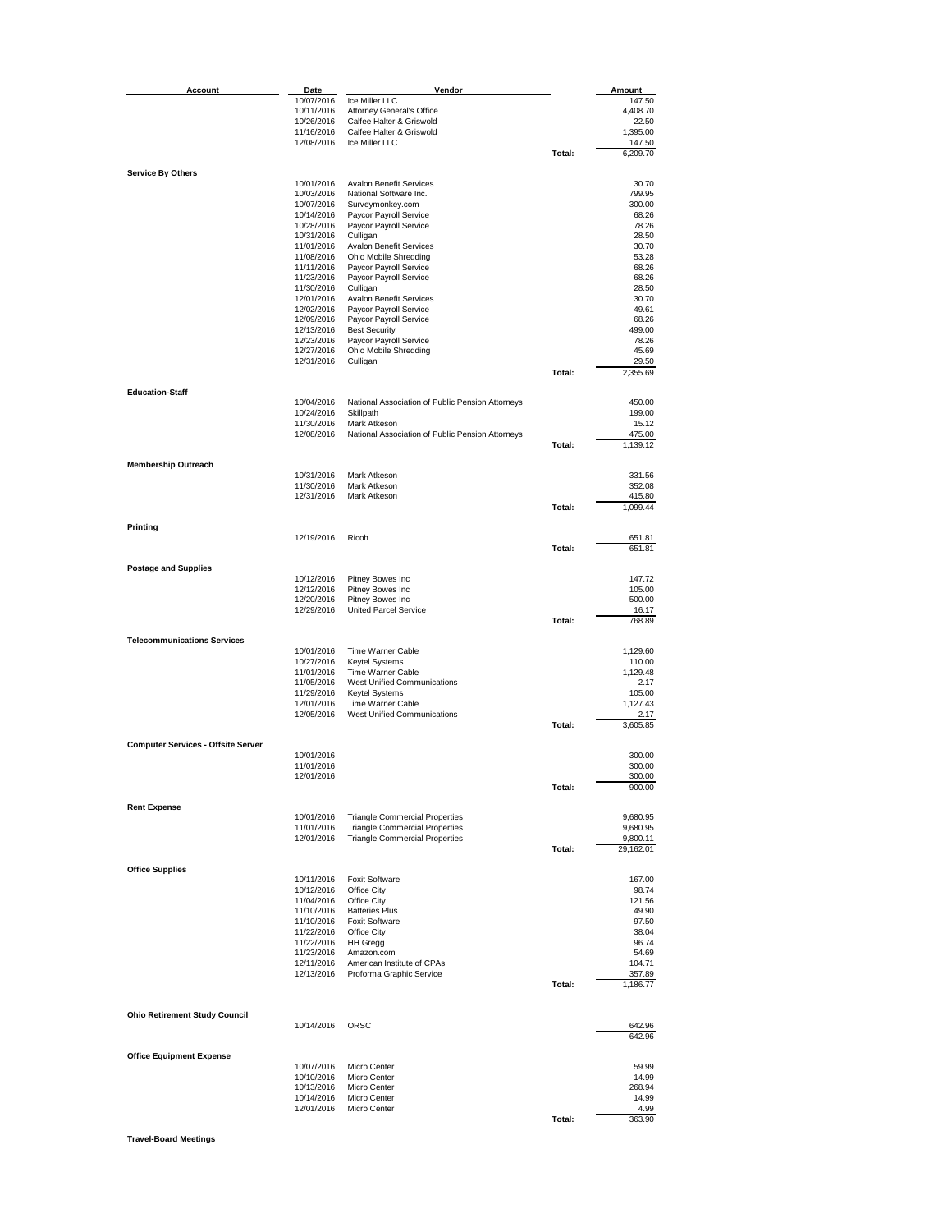| <b>Account</b>                            | Date                     | Vendor                                                                         |        | Amount               |
|-------------------------------------------|--------------------------|--------------------------------------------------------------------------------|--------|----------------------|
|                                           | 10/07/2016               | Ice Miller LLC                                                                 |        | 147.50               |
|                                           | 10/11/2016<br>10/26/2016 | Attorney General's Office<br>Calfee Halter & Griswold                          |        | 4,408.70<br>22.50    |
|                                           | 11/16/2016               | Calfee Halter & Griswold                                                       |        | 1,395.00             |
|                                           | 12/08/2016               | Ice Miller LLC                                                                 |        | 147.50               |
|                                           |                          |                                                                                | Total: | 6,209.70             |
| <b>Service By Others</b>                  |                          |                                                                                |        |                      |
|                                           | 10/01/2016<br>10/03/2016 | <b>Avalon Benefit Services</b><br>National Software Inc.                       |        | 30.70<br>799.95      |
|                                           | 10/07/2016               | Surveymonkey.com                                                               |        | 300.00               |
|                                           | 10/14/2016               | Paycor Payroll Service                                                         |        | 68.26                |
|                                           | 10/28/2016<br>10/31/2016 | Paycor Payroll Service<br>Culligan                                             |        | 78.26<br>28.50       |
|                                           | 11/01/2016               | Avalon Benefit Services                                                        |        | 30.70                |
|                                           | 11/08/2016<br>11/11/2016 | Ohio Mobile Shredding                                                          |        | 53.28                |
|                                           | 11/23/2016               | Paycor Payroll Service<br>Paycor Payroll Service                               |        | 68.26<br>68.26       |
|                                           | 11/30/2016               | Culligan                                                                       |        | 28.50                |
|                                           | 12/01/2016               | <b>Avalon Benefit Services</b>                                                 |        | 30.70                |
|                                           | 12/02/2016<br>12/09/2016 | Paycor Payroll Service<br>Paycor Payroll Service                               |        | 49.61<br>68.26       |
|                                           | 12/13/2016               | <b>Best Security</b>                                                           |        | 499.00               |
|                                           | 12/23/2016               | Paycor Payroll Service                                                         |        | 78.26                |
|                                           | 12/27/2016<br>12/31/2016 | Ohio Mobile Shredding<br>Culligan                                              |        | 45.69<br>29.50       |
|                                           |                          |                                                                                | Total: | 2,355.69             |
| <b>Education-Staff</b>                    |                          |                                                                                |        |                      |
|                                           | 10/04/2016               | National Association of Public Pension Attorneys                               |        | 450.00               |
|                                           | 10/24/2016               | Skillpath                                                                      |        | 199.00               |
|                                           | 11/30/2016<br>12/08/2016 | Mark Atkeson<br>National Association of Public Pension Attorneys               |        | 15.12<br>475.00      |
|                                           |                          |                                                                                | Total: | 1,139.12             |
|                                           |                          |                                                                                |        |                      |
| <b>Membership Outreach</b>                | 10/31/2016               | Mark Atkeson                                                                   |        | 331.56               |
|                                           | 11/30/2016               | Mark Atkeson                                                                   |        | 352.08               |
|                                           | 12/31/2016               | Mark Atkeson                                                                   | Total: | 415.80               |
|                                           |                          |                                                                                |        | 1,099.44             |
| Printing                                  |                          |                                                                                |        |                      |
|                                           | 12/19/2016               | Ricoh                                                                          | Total: | 651.81<br>651.81     |
|                                           |                          |                                                                                |        |                      |
| <b>Postage and Supplies</b>               | 10/12/2016               | Pitney Bowes Inc                                                               |        | 147.72               |
|                                           | 12/12/2016               | Pitney Bowes Inc                                                               |        | 105.00               |
|                                           | 12/20/2016               | Pitney Bowes Inc                                                               |        | 500.00               |
|                                           | 12/29/2016               | United Parcel Service                                                          | Total: | 16.17<br>768.89      |
|                                           |                          |                                                                                |        |                      |
| <b>Telecommunications Services</b>        | 10/01/2016               | Time Warner Cable                                                              |        | 1,129.60             |
|                                           | 10/27/2016               | Keytel Systems                                                                 |        | 110.00               |
|                                           | 11/01/2016               | Time Warner Cable                                                              |        | 1,129.48             |
|                                           | 11/05/2016<br>11/29/2016 | <b>West Unified Communications</b><br>Keytel Systems                           |        | 2.17<br>105.00       |
|                                           | 12/01/2016               | Time Warner Cable                                                              |        | 1,127.43             |
|                                           | 12/05/2016               | West Unified Communications                                                    |        | 2.17                 |
|                                           |                          |                                                                                | Total: | 3,605.85             |
| <b>Computer Services - Offsite Server</b> |                          |                                                                                |        |                      |
|                                           | 10/01/2016<br>11/01/2016 |                                                                                |        | 300.00<br>300.00     |
|                                           | 12/01/2016               |                                                                                |        | 300.00               |
|                                           |                          |                                                                                | Total: | 900.00               |
| <b>Rent Expense</b>                       |                          |                                                                                |        |                      |
|                                           | 10/01/2016               | <b>Triangle Commercial Properties</b>                                          |        | 9,680.95             |
|                                           | 11/01/2016<br>12/01/2016 | <b>Triangle Commercial Properties</b><br><b>Triangle Commercial Properties</b> |        | 9,680.95<br>9,800.11 |
|                                           |                          |                                                                                | Total: | 29,162.01            |
| <b>Office Supplies</b>                    |                          |                                                                                |        |                      |
|                                           | 10/11/2016               | <b>Foxit Software</b>                                                          |        | 167.00               |
|                                           | 10/12/2016               | Office City                                                                    |        | 98.74                |
|                                           | 11/04/2016<br>11/10/2016 | Office City<br><b>Batteries Plus</b>                                           |        | 121.56<br>49.90      |
|                                           | 11/10/2016               | <b>Foxit Software</b>                                                          |        | 97.50                |
|                                           | 11/22/2016               | Office City                                                                    |        | 38.04                |
|                                           | 11/22/2016<br>11/23/2016 | <b>HH Gregg</b><br>Amazon.com                                                  |        | 96.74<br>54.69       |
|                                           | 12/11/2016               | American Institute of CPAs                                                     |        | 104.71               |
|                                           | 12/13/2016               | Proforma Graphic Service                                                       |        | 357.89               |
|                                           |                          |                                                                                | Total: | 1,186.77             |
|                                           |                          |                                                                                |        |                      |
| <b>Ohio Retirement Study Council</b>      | 10/14/2016               | ORSC                                                                           |        | 642.96               |
|                                           |                          |                                                                                |        | 642.96               |
| <b>Office Equipment Expense</b>           |                          |                                                                                |        |                      |
|                                           | 10/07/2016<br>10/10/2016 | Micro Center<br>Micro Center                                                   |        | 59.99<br>14.99       |
|                                           | 10/13/2016               | Micro Center                                                                   |        | 268.94               |
|                                           | 10/14/2016               | Micro Center                                                                   |        | 14.99                |
|                                           | 12/01/2016               | Micro Center                                                                   | Total: | 4.99<br>363.90       |
|                                           |                          |                                                                                |        |                      |

**Travel-Board Meetings**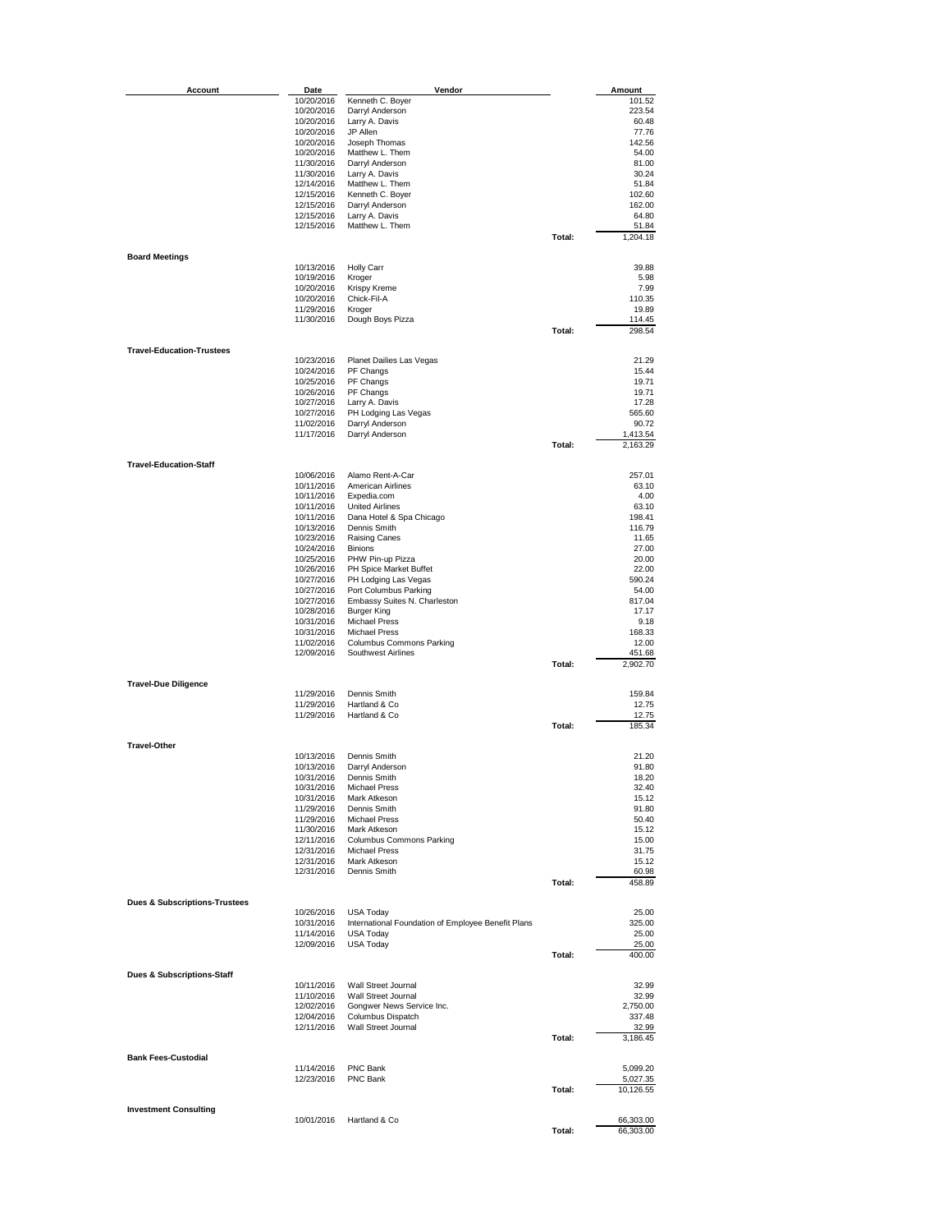| Account                                  | Date                     | Vendor                                             |        | Amount                 |
|------------------------------------------|--------------------------|----------------------------------------------------|--------|------------------------|
|                                          | 10/20/2016               | Kenneth C. Boyer                                   |        | 101.52                 |
|                                          | 10/20/2016               | Darryl Anderson                                    |        | 223.54                 |
|                                          | 10/20/2016               | Larry A. Davis                                     |        | 60.48                  |
|                                          | 10/20/2016               | JP Allen                                           |        | 77.76                  |
|                                          | 10/20/2016<br>10/20/2016 | Joseph Thomas<br>Matthew L. Them                   |        | 142.56<br>54.00        |
|                                          | 11/30/2016               | Darryl Anderson                                    |        | 81.00                  |
|                                          | 11/30/2016               | Larry A. Davis                                     |        | 30.24                  |
|                                          | 12/14/2016               | Matthew L. Them                                    |        | 51.84                  |
|                                          | 12/15/2016               | Kenneth C. Boyer                                   |        | 102.60                 |
|                                          | 12/15/2016<br>12/15/2016 | Darryl Anderson<br>Larry A. Davis                  |        | 162.00<br>64.80        |
|                                          | 12/15/2016               | Matthew L. Them                                    |        | 51.84                  |
|                                          |                          |                                                    | Total: | 1,204.18               |
|                                          |                          |                                                    |        |                        |
| <b>Board Meetings</b>                    |                          |                                                    |        |                        |
|                                          | 10/13/2016<br>10/19/2016 | <b>Holly Carr</b><br>Kroger                        |        | 39.88<br>5.98          |
|                                          | 10/20/2016               | Krispy Kreme                                       |        | 7.99                   |
|                                          | 10/20/2016               | Chick-Fil-A                                        |        | 110.35                 |
|                                          | 11/29/2016               | Kroger                                             |        | 19.89                  |
|                                          | 11/30/2016               | Dough Boys Pizza                                   |        | 114.45                 |
|                                          |                          |                                                    | Total: | 298.54                 |
| <b>Travel-Education-Trustees</b>         |                          |                                                    |        |                        |
|                                          | 10/23/2016               | Planet Dailies Las Vegas                           |        | 21.29                  |
|                                          | 10/24/2016               | PF Changs                                          |        | 15.44                  |
|                                          | 10/25/2016               | PF Changs                                          |        | 19.71                  |
|                                          | 10/26/2016               | PF Changs                                          |        | 19.71                  |
|                                          | 10/27/2016<br>10/27/2016 | Larry A. Davis<br>PH Lodging Las Vegas             |        | 17.28<br>565.60        |
|                                          | 11/02/2016               | Darryl Anderson                                    |        | 90.72                  |
|                                          | 11/17/2016               | Darryl Anderson                                    |        | 1,413.54               |
|                                          |                          |                                                    | Total: | 2,163.29               |
|                                          |                          |                                                    |        |                        |
| <b>Travel-Education-Staff</b>            |                          | Alamo Rent-A-Car                                   |        | 257.01                 |
|                                          | 10/06/2016<br>10/11/2016 | American Airlines                                  |        | 63.10                  |
|                                          | 10/11/2016               | Expedia.com                                        |        | 4.00                   |
|                                          | 10/11/2016               | <b>United Airlines</b>                             |        | 63.10                  |
|                                          | 10/11/2016               | Dana Hotel & Spa Chicago                           |        | 198.41                 |
|                                          | 10/13/2016               | Dennis Smith                                       |        | 116.79                 |
|                                          | 10/23/2016<br>10/24/2016 | Raising Canes<br><b>Binions</b>                    |        | 11.65<br>27.00         |
|                                          | 10/25/2016               | PHW Pin-up Pizza                                   |        | 20.00                  |
|                                          | 10/26/2016               | PH Spice Market Buffet                             |        | 22.00                  |
|                                          | 10/27/2016               | PH Lodging Las Vegas                               |        | 590.24                 |
|                                          | 10/27/2016               | Port Columbus Parking                              |        | 54.00                  |
|                                          | 10/27/2016               | Embassy Suites N. Charleston                       |        | 817.04                 |
|                                          | 10/28/2016               | Burger King                                        |        | 17.17                  |
|                                          | 10/31/2016<br>10/31/2016 | <b>Michael Press</b><br><b>Michael Press</b>       |        | 9.18<br>168.33         |
|                                          | 11/02/2016               | Columbus Commons Parking                           |        | 12.00                  |
|                                          | 12/09/2016               | Southwest Airlines                                 |        | 451.68                 |
|                                          |                          |                                                    | Total: | 2,902.70               |
|                                          |                          |                                                    |        |                        |
| <b>Travel-Due Diligence</b>              | 11/29/2016               | Dennis Smith                                       |        | 159.84                 |
|                                          | 11/29/2016               | Hartland & Co                                      |        | 12.75                  |
|                                          | 11/29/2016               | Hartland & Co                                      |        | 12.75                  |
|                                          |                          |                                                    | Total: | 185.34                 |
|                                          |                          |                                                    |        |                        |
| <b>Travel-Other</b>                      | 10/13/2016               | Dennis Smith                                       |        | 21.20                  |
|                                          | 10/13/2016               | Darryl Anderson                                    |        | 91.80                  |
|                                          | 10/31/2016               | Dennis Smith                                       |        | 18.20                  |
|                                          | 10/31/2016               | <b>Michael Press</b>                               |        | 32.40                  |
|                                          | 10/31/2016               | Mark Atkeson                                       |        | 15.12                  |
|                                          | 11/29/2016               | Dennis Smith                                       |        | 91.80                  |
|                                          | 11/29/2016<br>11/30/2016 | <b>Michael Press</b><br>Mark Atkeson               |        | 50.40<br>15.12         |
|                                          | 12/11/2016               | Columbus Commons Parking                           |        | 15.00                  |
|                                          | 12/31/2016               | Michael Press                                      |        | 31.75                  |
|                                          | 12/31/2016               | Mark Atkeson                                       |        | 15.12                  |
|                                          | 12/31/2016               | Dennis Smith                                       |        | 60.98                  |
|                                          |                          |                                                    | Total: | 458.89                 |
| <b>Dues &amp; Subscriptions-Trustees</b> |                          |                                                    |        |                        |
|                                          | 10/26/2016               | <b>USA Today</b>                                   |        | 25.00                  |
|                                          | 10/31/2016               | International Foundation of Employee Benefit Plans |        | 325.00                 |
|                                          | 11/14/2016               | <b>USA Today</b>                                   |        | 25.00                  |
|                                          | 12/09/2016               | <b>USA Today</b>                                   | Total: | 25.00                  |
|                                          |                          |                                                    |        | 400.00                 |
| <b>Dues &amp; Subscriptions-Staff</b>    |                          |                                                    |        |                        |
|                                          | 10/11/2016               | Wall Street Journal                                |        | 32.99                  |
|                                          | 11/10/2016               | Wall Street Journal                                |        | 32.99                  |
|                                          | 12/02/2016<br>12/04/2016 | Gongwer News Service Inc.<br>Columbus Dispatch     |        | 2,750.00<br>337.48     |
|                                          | 12/11/2016               | Wall Street Journal                                |        | 32.99                  |
|                                          |                          |                                                    | Total: | 3,186.45               |
|                                          |                          |                                                    |        |                        |
| <b>Bank Fees-Custodial</b>               |                          |                                                    |        |                        |
|                                          | 11/14/2016<br>12/23/2016 | PNC Bank<br>PNC Bank                               |        | 5,099.20<br>5,027.35   |
|                                          |                          |                                                    | Total: | 10,126.55              |
|                                          |                          |                                                    |        |                        |
| <b>Investment Consulting</b>             |                          |                                                    |        |                        |
|                                          | 10/01/2016               | Hartland & Co                                      | Total: | 66,303.00<br>66,303.00 |
|                                          |                          |                                                    |        |                        |